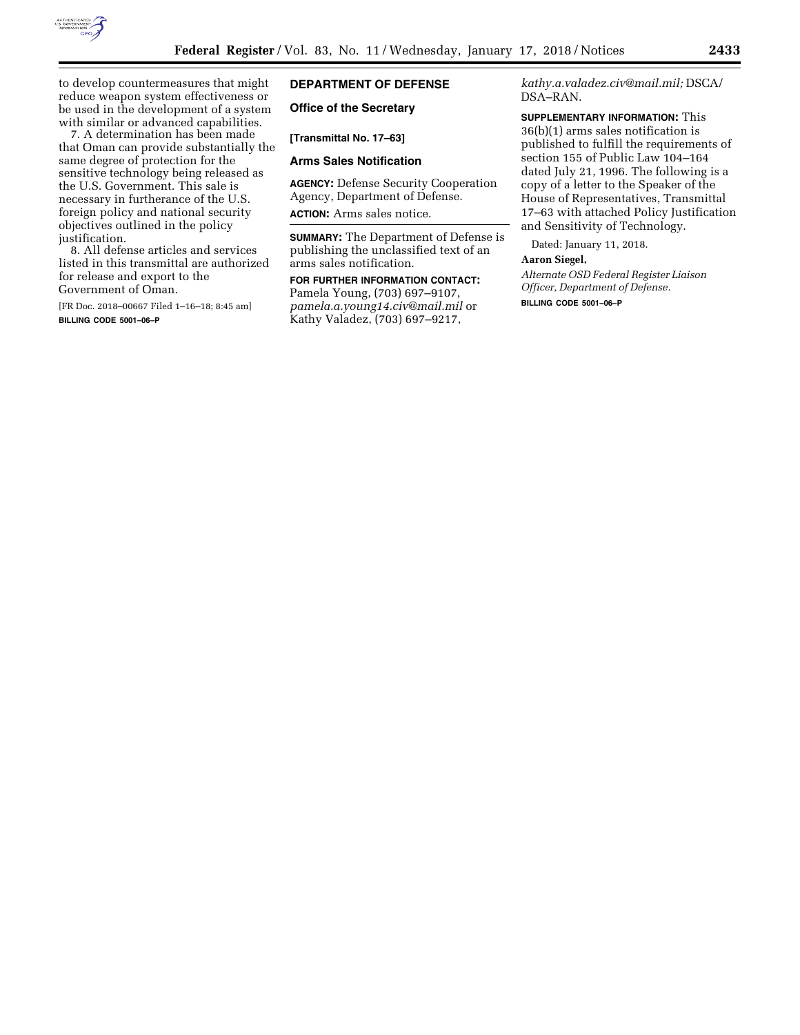

to develop countermeasures that might reduce weapon system effectiveness or be used in the development of a system with similar or advanced capabilities.

7. A determination has been made that Oman can provide substantially the same degree of protection for the sensitive technology being released as the U.S. Government. This sale is necessary in furtherance of the U.S. foreign policy and national security objectives outlined in the policy justification.

8. All defense articles and services listed in this transmittal are authorized for release and export to the Government of Oman.

[FR Doc. 2018–00667 Filed 1–16–18; 8:45 am] **BILLING CODE 5001–06–P** 

# **DEPARTMENT OF DEFENSE**

# **Office of the Secretary**

**[Transmittal No. 17–63]** 

### **Arms Sales Notification**

**AGENCY:** Defense Security Cooperation Agency, Department of Defense. **ACTION:** Arms sales notice.

**SUMMARY:** The Department of Defense is publishing the unclassified text of an arms sales notification.

**FOR FURTHER INFORMATION CONTACT:**  Pamela Young, (703) 697–9107, *[pamela.a.young14.civ@mail.mil](mailto:pamela.a.young14.civ@mail.mil)* or Kathy Valadez, (703) 697–9217,

*[kathy.a.valadez.civ@mail.mil;](mailto:kathy.a.valadez.civ@mail.mil)* DSCA/ DSA–RAN.

**SUPPLEMENTARY INFORMATION:** This 36(b)(1) arms sales notification is published to fulfill the requirements of section 155 of Public Law 104–164 dated July 21, 1996. The following is a copy of a letter to the Speaker of the House of Representatives, Transmittal 17–63 with attached Policy Justification and Sensitivity of Technology.

Dated: January 11, 2018.

#### **Aaron Siegel,**

*Alternate OSD Federal Register Liaison Officer, Department of Defense.* 

**BILLING CODE 5001–06–P**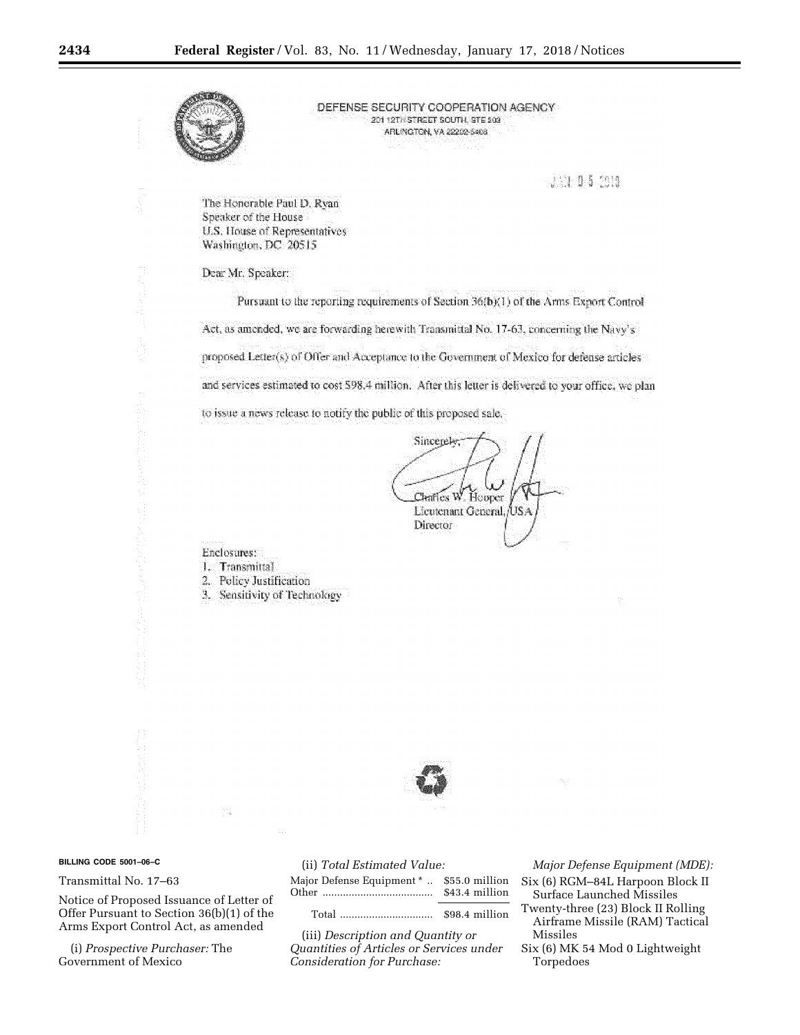

DEFENSE SECURITY COOPERATION AGENCY 20112TH STREET BOUTH, STE 203 ARLINGTON, VA 22202-5408

JS1 0 5 2010

The Honorable Paul D. Ryan Speaker of the House U.S. House of Representatives Washington, DC 20515

# Dear Mr. Speaker:

Pursuant to the reporting requirements of Section 36(b)(1) of the Arms Export Control Act, as amended, we are forwarding herewith Transmittal No. 17-63, concerning the Navy's proposed Letter(s) of Offer and Acceptance to the Government of Mexico for defense articles and services estimated to cost 598.4 million. After this letter is delivered to your office, we plan to issue a news release to notify the public of this proposed sale.

Sincerely; Chaffes W. Hopper Licutenant General, USA Director

Enclosures:

- 1. Transmittal
- 2. Policy Justification
- 3. Sensitivity of Technology



#### BILLING CODE 5001-06-C

# Transmittal No. 17-63

Notice of Proposed Issuance of Letter of Offer Pursuant to Section 36(b)(1) of the Arms Export Control Act, as amended

(i) Prospective Purchaser: The Government of Mexico

|  | (ii) Total Estimated Value: |  |  |
|--|-----------------------------|--|--|
|--|-----------------------------|--|--|

| Major Defense Equipment *  \$55.0 million | \$43.4 million |
|-------------------------------------------|----------------|
| m . 1                                     | $m = 111$      |

(iii) Description and Quantity or Quantities of Articles or Services under Consideration for Purchase:

Major Defense Equipment (MDE):

- Six (6) RGM-84L Harpoon Block II Surface Launched Missiles
- Twenty-three (23) Block II Rolling Airframe Missile (RAM) Tactical Missiles
- Six (6) MK 54 Mod 0 Lightweight Torpedoes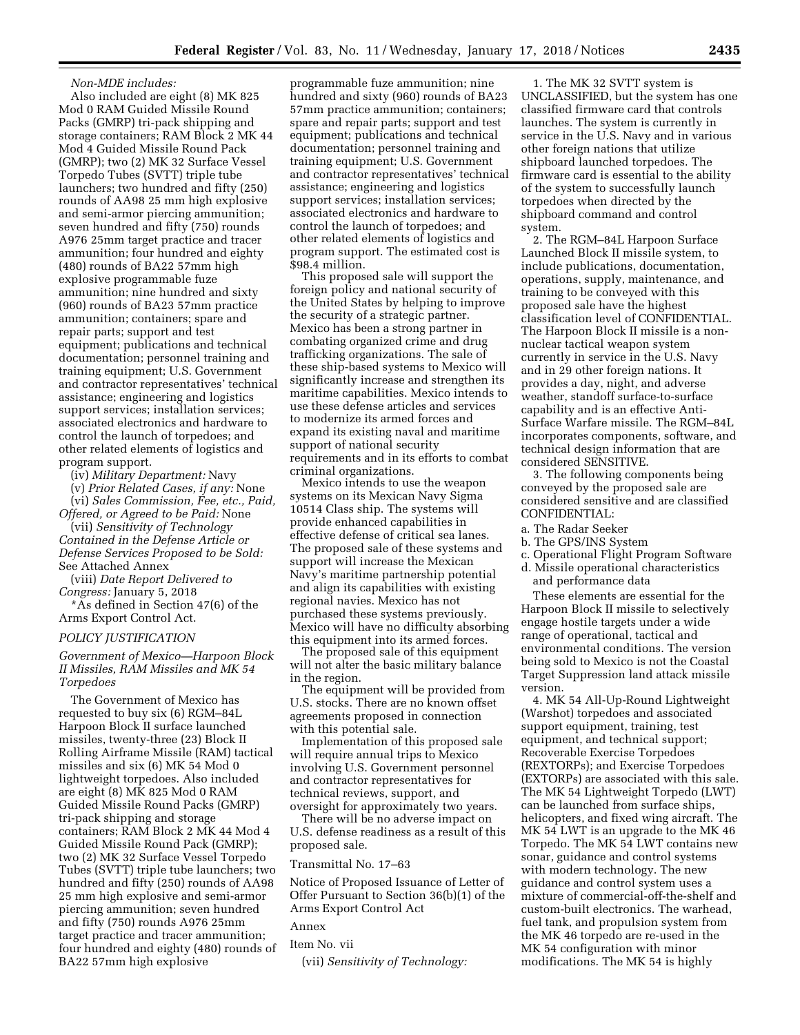### *Non-MDE includes:*

Also included are eight (8) MK 825 Mod 0 RAM Guided Missile Round Packs (GMRP) tri-pack shipping and storage containers; RAM Block 2 MK 44 Mod 4 Guided Missile Round Pack (GMRP); two (2) MK 32 Surface Vessel Torpedo Tubes (SVTT) triple tube launchers; two hundred and fifty (250) rounds of AA98 25 mm high explosive and semi-armor piercing ammunition; seven hundred and fifty (750) rounds A976 25mm target practice and tracer ammunition; four hundred and eighty (480) rounds of BA22 57mm high explosive programmable fuze ammunition; nine hundred and sixty (960) rounds of BA23 57mm practice ammunition; containers; spare and repair parts; support and test equipment; publications and technical documentation; personnel training and training equipment; U.S. Government and contractor representatives' technical assistance; engineering and logistics support services; installation services; associated electronics and hardware to control the launch of torpedoes; and other related elements of logistics and program support.

(iv) *Military Department:* Navy

(v) *Prior Related Cases, if any:* None (vi) *Sales Commission, Fee, etc., Paid,* 

*Offered, or Agreed to be Paid:* None (vii) *Sensitivity of Technology Contained in the Defense Article or Defense Services Proposed to be Sold:* 

See Attached Annex (viii) *Date Report Delivered to* 

*Congress:* January 5, 2018

\*As defined in Section 47(6) of the Arms Export Control Act.

# *POLICY JUSTIFICATION*

*Government of Mexico—Harpoon Block II Missiles, RAM Missiles and MK 54 Torpedoes* 

The Government of Mexico has requested to buy six (6) RGM–84L Harpoon Block II surface launched missiles, twenty-three (23) Block II Rolling Airframe Missile (RAM) tactical missiles and six (6) MK 54 Mod 0 lightweight torpedoes. Also included are eight (8) MK 825 Mod 0 RAM Guided Missile Round Packs (GMRP) tri-pack shipping and storage containers; RAM Block 2 MK 44 Mod 4 Guided Missile Round Pack (GMRP); two (2) MK 32 Surface Vessel Torpedo Tubes (SVTT) triple tube launchers; two hundred and fifty (250) rounds of AA98 25 mm high explosive and semi-armor piercing ammunition; seven hundred and fifty (750) rounds A976 25mm target practice and tracer ammunition; four hundred and eighty (480) rounds of BA22 57mm high explosive

programmable fuze ammunition; nine hundred and sixty (960) rounds of BA23 57mm practice ammunition; containers; spare and repair parts; support and test equipment; publications and technical documentation; personnel training and training equipment; U.S. Government and contractor representatives' technical assistance; engineering and logistics support services; installation services; associated electronics and hardware to control the launch of torpedoes; and other related elements of logistics and program support. The estimated cost is \$98.4 million.

This proposed sale will support the foreign policy and national security of the United States by helping to improve the security of a strategic partner. Mexico has been a strong partner in combating organized crime and drug trafficking organizations. The sale of these ship-based systems to Mexico will significantly increase and strengthen its maritime capabilities. Mexico intends to use these defense articles and services to modernize its armed forces and expand its existing naval and maritime support of national security requirements and in its efforts to combat criminal organizations.

Mexico intends to use the weapon systems on its Mexican Navy Sigma 10514 Class ship. The systems will provide enhanced capabilities in effective defense of critical sea lanes. The proposed sale of these systems and support will increase the Mexican Navy's maritime partnership potential and align its capabilities with existing regional navies. Mexico has not purchased these systems previously. Mexico will have no difficulty absorbing this equipment into its armed forces.

The proposed sale of this equipment will not alter the basic military balance in the region.

The equipment will be provided from U.S. stocks. There are no known offset agreements proposed in connection with this potential sale.

Implementation of this proposed sale will require annual trips to Mexico involving U.S. Government personnel and contractor representatives for technical reviews, support, and oversight for approximately two years.

There will be no adverse impact on U.S. defense readiness as a result of this proposed sale.

#### Transmittal No. 17–63

Notice of Proposed Issuance of Letter of Offer Pursuant to Section 36(b)(1) of the Arms Export Control Act

Annex

Item No. vii

(vii) *Sensitivity of Technology:* 

1. The MK 32 SVTT system is UNCLASSIFIED, but the system has one classified firmware card that controls launches. The system is currently in service in the U.S. Navy and in various other foreign nations that utilize shipboard launched torpedoes. The firmware card is essential to the ability of the system to successfully launch torpedoes when directed by the shipboard command and control system.

2. The RGM–84L Harpoon Surface Launched Block II missile system, to include publications, documentation, operations, supply, maintenance, and training to be conveyed with this proposed sale have the highest classification level of CONFIDENTIAL. The Harpoon Block II missile is a nonnuclear tactical weapon system currently in service in the U.S. Navy and in 29 other foreign nations. It provides a day, night, and adverse weather, standoff surface-to-surface capability and is an effective Anti-Surface Warfare missile. The RGM–84L incorporates components, software, and technical design information that are considered SENSITIVE.

3. The following components being conveyed by the proposed sale are considered sensitive and are classified CONFIDENTIAL:

- a. The Radar Seeker
- b. The GPS/INS System
- c. Operational Flight Program Software
- d. Missile operational characteristics and performance data

These elements are essential for the Harpoon Block II missile to selectively engage hostile targets under a wide range of operational, tactical and environmental conditions. The version being sold to Mexico is not the Coastal Target Suppression land attack missile version.

4. MK 54 All-Up-Round Lightweight (Warshot) torpedoes and associated support equipment, training, test equipment, and technical support; Recoverable Exercise Torpedoes (REXTORPs); and Exercise Torpedoes (EXTORPs) are associated with this sale. The MK 54 Lightweight Torpedo (LWT) can be launched from surface ships, helicopters, and fixed wing aircraft. The MK 54 LWT is an upgrade to the MK 46 Torpedo. The MK 54 LWT contains new sonar, guidance and control systems with modern technology. The new guidance and control system uses a mixture of commercial-off-the-shelf and custom-built electronics. The warhead, fuel tank, and propulsion system from the MK 46 torpedo are re-used in the MK 54 configuration with minor modifications. The MK 54 is highly